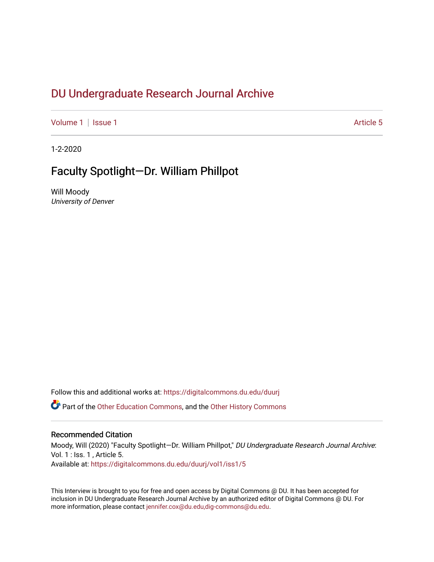# DU Undergr[aduate Research Journal Ar](https://digitalcommons.du.edu/duurj)chive

[Volume 1](https://digitalcommons.du.edu/duurj/vol1) | [Issue 1](https://digitalcommons.du.edu/duurj/vol1/iss1) Article 5

1-2-2020

# Faculty Spotlight—Dr. William Phillpot

Will Moody University of Denver

Follow this and additional works at: [https://digitalcommons.du.edu/duurj](https://digitalcommons.du.edu/duurj?utm_source=digitalcommons.du.edu%2Fduurj%2Fvol1%2Fiss1%2F5&utm_medium=PDF&utm_campaign=PDFCoverPages) 

**C** Part of the [Other Education Commons,](http://network.bepress.com/hgg/discipline/811?utm_source=digitalcommons.du.edu%2Fduurj%2Fvol1%2Fiss1%2F5&utm_medium=PDF&utm_campaign=PDFCoverPages) and the [Other History Commons](http://network.bepress.com/hgg/discipline/508?utm_source=digitalcommons.du.edu%2Fduurj%2Fvol1%2Fiss1%2F5&utm_medium=PDF&utm_campaign=PDFCoverPages)

### Recommended Citation

Moody, Will (2020) "Faculty Spotlight—Dr. William Phillpot," DU Undergraduate Research Journal Archive: Vol. 1 : Iss. 1 , Article 5. Available at: [https://digitalcommons.du.edu/duurj/vol1/iss1/5](https://digitalcommons.du.edu/duurj/vol1/iss1/5?utm_source=digitalcommons.du.edu%2Fduurj%2Fvol1%2Fiss1%2F5&utm_medium=PDF&utm_campaign=PDFCoverPages) 

This Interview is brought to you for free and open access by Digital Commons @ DU. It has been accepted for inclusion in DU Undergraduate Research Journal Archive by an authorized editor of Digital Commons @ DU. For more information, please contact [jennifer.cox@du.edu,dig-commons@du.edu.](mailto:jennifer.cox@du.edu,dig-commons@du.edu)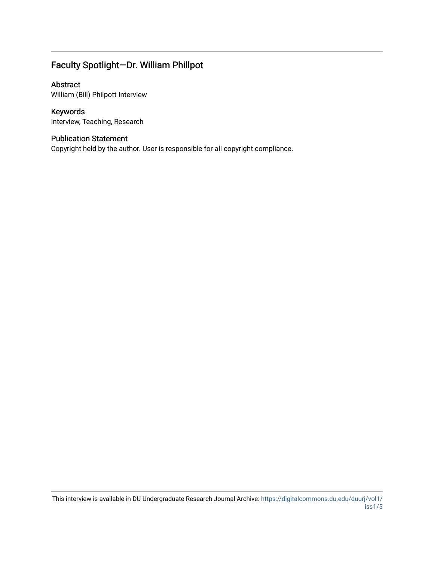## Faculty Spotlight—Dr. William Phillpot

## Abstract

William (Bill) Philpott Interview

## Keywords

Interview, Teaching, Research

## Publication Statement

Copyright held by the author. User is responsible for all copyright compliance.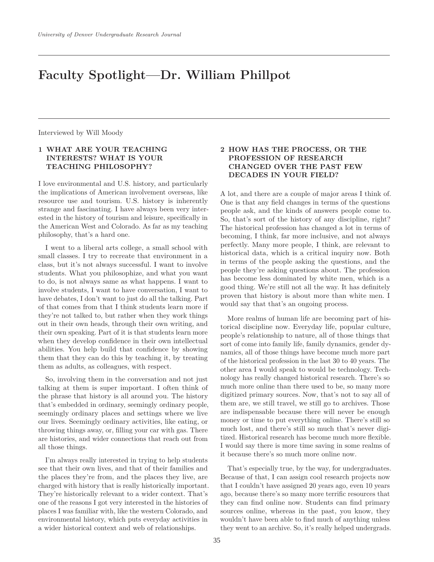# **Faculty Spotlight—Dr. William Phillpot**

Interviewed by Will Moody

#### **1 WHAT ARE YOUR TEACHING INTERESTS? WHAT IS YOUR TEACHING PHILOSOPHY?**

I love environmental and U.S. history, and particularly the implications of American involvement overseas, like resource use and tourism. U.S. history is inherently strange and fascinating. I have always been very interested in the history of tourism and leisure, specifically in the American West and Colorado. As far as my teaching philosophy, that's a hard one.

I went to a liberal arts college, a small school with small classes. I try to recreate that environment in a class, but it's not always successful. I want to involve students. What you philosophize, and what you want to do, is not always same as what happens. I want to involve students, I want to have conversation, I want to have debates, I don't want to just do all the talking. Part of that comes from that I think students learn more if they're not talked to, but rather when they work things out in their own heads, through their own writing, and their own speaking. Part of it is that students learn more when they develop confidence in their own intellectual abilities. You help build that confidence by showing them that they can do this by teaching it, by treating them as adults, as colleagues, with respect.

So, involving them in the conversation and not just talking at them is super important. I often think of the phrase that history is all around you. The history that's embedded in ordinary, seemingly ordinary people, seemingly ordinary places and settings where we live our lives. Seemingly ordinary activities, like eating, or throwing things away, or, filling your car with gas. There are histories, and wider connections that reach out from all those things.

I'm always really interested in trying to help students see that their own lives, and that of their families and the places they're from, and the places they live, are charged with history that is really historically important. They're historically relevant to a wider context. That's one of the reasons I got very interested in the histories of places I was familiar with, like the western Colorado, and environmental history, which puts everyday activities in a wider historical context and web of relationships.

#### **2 HOW HAS THE PROCESS, OR THE PROFESSION OF RESEARCH CHANGED OVER THE PAST FEW DECADES IN YOUR FIELD?**

A lot, and there are a couple of major areas I think of. One is that any field changes in terms of the questions people ask, and the kinds of answers people come to. So, that's sort of the history of any discipline, right? The historical profession has changed a lot in terms of becoming, I think, far more inclusive, and not always perfectly. Many more people, I think, are relevant to historical data, which is a critical inquiry now. Both in terms of the people asking the questions, and the people they're asking questions about. The profession has become less dominated by white men, which is a good thing. We're still not all the way. It has definitely proven that history is about more than white men. I would say that that's an ongoing process.

More realms of human life are becoming part of historical discipline now. Everyday life, popular culture, people's relationship to nature, all of those things that sort of come into family life, family dynamics, gender dynamics, all of those things have become much more part of the historical profession in the last 30 to 40 years. The other area I would speak to would be technology. Technology has really changed historical research. There's so much more online than there used to be, so many more digitized primary sources. Now, that's not to say all of them are, we still travel, we still go to archives. Those are indispensable because there will never be enough money or time to put everything online. There's still so much lost, and there's still so much that's never digitized. Historical research has become much more flexible. I would say there is more time saving in some realms of it because there's so much more online now.

That's especially true, by the way, for undergraduates. Because of that, I can assign cool research projects now that I couldn't have assigned 20 years ago, even 10 years ago, because there's so many more terrific resources that they can find online now. Students can find primary sources online, whereas in the past, you know, they wouldn't have been able to find much of anything unless they went to an archive. So, it's really helped undergrads.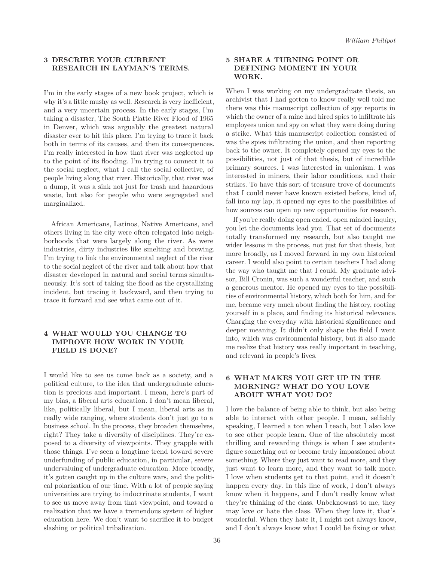#### **3 DESCRIBE YOUR CURRENT RESEARCH IN LAYMAN'S TERMS**

I'm in the early stages of a new book project, which is why it's a little mushy as well. Research is very inefficient, and a very uncertain process. In the early stages, I'm taking a disaster, The South Platte River Flood of 1965 in Denver, which was arguably the greatest natural disaster ever to hit this place. I'm trying to trace it back both in terms of its causes, and then its consequences. I'm really interested in how that river was neglected up to the point of its flooding. I'm trying to connect it to the social neglect, what I call the social collective, of people living along that river. Historically, that river was a dump, it was a sink not just for trash and hazardous waste, but also for people who were segregated and marginalized.

African Americans, Latinos, Native Americans, and others living in the city were often relegated into neighborhoods that were largely along the river. As were industries, dirty industries like smelting and brewing. I'm trying to link the environmental neglect of the river to the social neglect of the river and talk about how that disaster developed in natural and social terms simultaneously. It's sort of taking the flood as the crystallizing incident, but tracing it backward, and then trying to trace it forward and see what came out of it.

#### **4 WHAT WOULD YOU CHANGE TO IMPROVE HOW WORK IN YOUR FIELD IS DONE?**

I would like to see us come back as a society, and a political culture, to the idea that undergraduate education is precious and important. I mean, here's part of my bias, a liberal arts education. I don't mean liberal, like, politically liberal, but I mean, liberal arts as in really wide ranging, where students don't just go to a business school. In the process, they broaden themselves, right? They take a diversity of disciplines. They're exposed to a diversity of viewpoints. They grapple with those things. I've seen a longtime trend toward severe underfunding of public education, in particular, severe undervaluing of undergraduate education. More broadly, it's gotten caught up in the culture wars, and the political polarization of our time. With a lot of people saying universities are trying to indoctrinate students, I want to see us move away from that viewpoint, and toward a realization that we have a tremendous system of higher education here. We don't want to sacrifice it to budget slashing or political tribalization.

#### **5 SHARE A TURNING POINT OR DEFINING MOMENT IN YOUR WORK.**

When I was working on my undergraduate thesis, an archivist that I had gotten to know really well told me there was this manuscript collection of spy reports in which the owner of a mine had hired spies to infiltrate his employees union and spy on what they were doing during a strike. What this manuscript collection consisted of was the spies infiltrating the union, and then reporting back to the owner. It completely opened my eyes to the possibilities, not just of that thesis, but of incredible primary sources. I was interested in unionism. I was interested in miners, their labor conditions, and their strikes. To have this sort of treasure trove of documents that I could never have known existed before, kind of, fall into my lap, it opened my eyes to the possibilities of how sources can open up new opportunities for research.

If you're really doing open ended, open minded inquiry, you let the documents lead you. That set of documents totally transformed my research, but also taught me wider lessons in the process, not just for that thesis, but more broadly, as I moved forward in my own historical career. I would also point to certain teachers I had along the way who taught me that I could. My graduate advisor, Bill Cronin, was such a wonderful teacher, and such a generous mentor. He opened my eyes to the possibilities of environmental history, which both for him, and for me, became very much about finding the history, rooting yourself in a place, and finding its historical relevance. Charging the everyday with historical significance and deeper meaning. It didn't only shape the field I went into, which was environmental history, but it also made me realize that history was really important in teaching, and relevant in people's lives.

#### **6 WHAT MAKES YOU GET UP IN THE MORNING? WHAT DO YOU LOVE ABOUT WHAT YOU DO?**

I love the balance of being able to think, but also being able to interact with other people. I mean, selfishly speaking, I learned a ton when I teach, but I also love to see other people learn. One of the absolutely most thrilling and rewarding things is when I see students figure something out or become truly impassioned about something. Where they just want to read more, and they just want to learn more, and they want to talk more. I love when students get to that point, and it doesn't happen every day. In this line of work, I don't always know when it happens, and I don't really know what they're thinking of the class. Unbeknownst to me, they may love or hate the class. When they love it, that's wonderful. When they hate it, I might not always know, and I don't always know what I could be fixing or what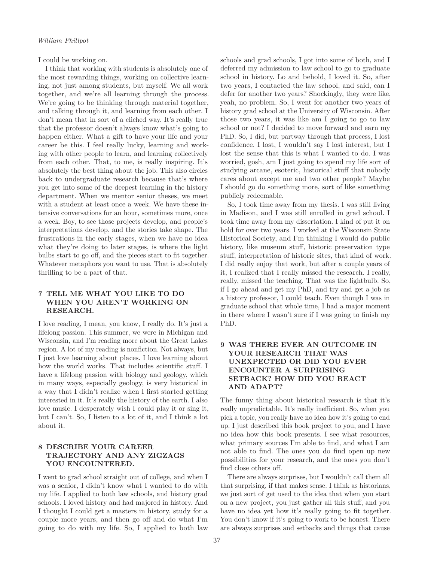I could be working on.

I think that working with students is absolutely one of the most rewarding things, working on collective learning, not just among students, but myself. We all work together, and we're all learning through the process. We're going to be thinking through material together, and talking through it, and learning from each other. I don't mean that in sort of a cliched way. It's really true that the professor doesn't always know what's going to happen either. What a gift to have your life and your career be this. I feel really lucky, learning and working with other people to learn, and learning collectively from each other. That, to me, is really inspiring. It's absolutely the best thing about the job. This also circles back to undergraduate research because that's where you get into some of the deepest learning in the history department. When we mentor senior theses, we meet with a student at least once a week. We have these intensive conversations for an hour, sometimes more, once a week. Boy, to see those projects develop, and people's interpretations develop, and the stories take shape. The frustrations in the early stages, when we have no idea what they're doing to later stages, is where the light bulbs start to go off, and the pieces start to fit together. Whatever metaphors you want to use. That is absolutely thrilling to be a part of that.

#### **7 TELL ME WHAT YOU LIKE TO DO WHEN YOU AREN'T WORKING ON RESEARCH.**

I love reading, I mean, you know, I really do. It's just a lifelong passion. This summer, we were in Michigan and Wisconsin, and I'm reading more about the Great Lakes region. A lot of my reading is nonfiction. Not always, but I just love learning about places. I love learning about how the world works. That includes scientific stuff. I have a lifelong passion with biology and geology, which in many ways, especially geology, is very historical in a way that I didn't realize when I first started getting interested in it. It's really the history of the earth. I also love music. I desperately wish I could play it or sing it, but I can't. So, I listen to a lot of it, and I think a lot about it.

#### **8 DESCRIBE YOUR CAREER TRAJECTORY AND ANY ZIGZAGS YOU ENCOUNTERED.**

I went to grad school straight out of college, and when I was a senior, I didn't know what I wanted to do with my life. I applied to both law schools, and history grad schools. I loved history and had majored in history. And I thought I could get a masters in history, study for a couple more years, and then go off and do what I'm going to do with my life. So, I applied to both law schools and grad schools, I got into some of both, and I deferred my admission to law school to go to graduate school in history. Lo and behold, I loved it. So, after two years, I contacted the law school, and said, can I defer for another two years? Shockingly, they were like, yeah, no problem. So, I went for another two years of history grad school at the University of Wisconsin. After those two years, it was like am I going to go to law school or not? I decided to move forward and earn my PhD. So, I did, but partway through that process, I lost confidence. I lost, I wouldn't say I lost interest, but I lost the sense that this is what I wanted to do. I was worried, gosh, am I just going to spend my life sort of studying arcane, esoteric, historical stuff that nobody cares about except me and two other people? Maybe I should go do something more, sort of like something publicly redeemable.

So, I took time away from my thesis. I was still living in Madison, and I was still enrolled in grad school. I took time away from my dissertation. I kind of put it on hold for over two years. I worked at the Wisconsin State Historical Society, and I'm thinking I would do public history, like museum stuff, historic preservation type stuff, interpretation of historic sites, that kind of work. I did really enjoy that work, but after a couple years of it, I realized that I really missed the research. I really, really, missed the teaching. That was the lightbulb. So, if I go ahead and get my PhD, and try and get a job as a history professor, I could teach. Even though I was in graduate school that whole time, I had a major moment in there where I wasn't sure if I was going to finish my PhD.

#### **9 WAS THERE EVER AN OUTCOME IN YOUR RESEARCH THAT WAS UNEXPECTED OR DID YOU EVER ENCOUNTER A SURPRISING SETBACK? HOW DID YOU REACT AND ADAPT?**

The funny thing about historical research is that it's really unpredictable. It's really inefficient. So, when you pick a topic, you really have no idea how it's going to end up. I just described this book project to you, and I have no idea how this book presents. I see what resources, what primary sources I'm able to find, and what I am not able to find. The ones you do find open up new possibilities for your research, and the ones you don't find close others off.

There are always surprises, but I wouldn't call them all that surprising, if that makes sense. I think as historians, we just sort of get used to the idea that when you start on a new project, you just gather all this stuff, and you have no idea yet how it's really going to fit together. You don't know if it's going to work to be honest. There are always surprises and setbacks and things that cause